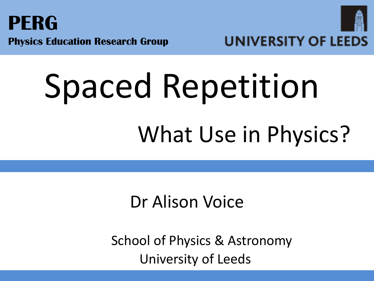



# Spaced Repetition What Use in Physics?

## Dr Alison Voice

 School of Physics & Astronomy University of Leeds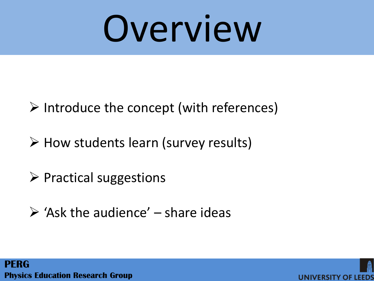# Overview

- $\triangleright$  Introduce the concept (with references)
- $\triangleright$  How students learn (survey results)
- $\triangleright$  Practical suggestions
- $\triangleright$  'Ask the audience' share ideas



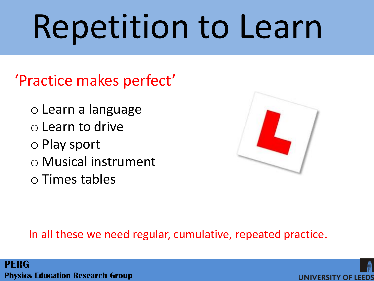# Repetition to Learn

## 'Practice makes perfect'

- o Learn a language
- o Learn to drive
- o Play sport
- o Musical instrument
- o Times tables



### In all these we need regular, cumulative, repeated practice.

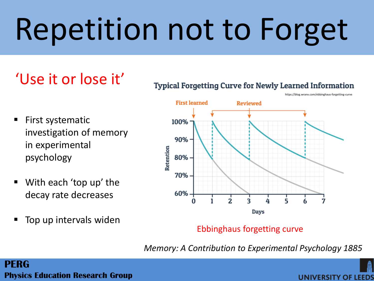## Repetition not to Forget

## 'Use it or lose it'

- **Typical Forgetting Curve for Newly Learned Information** 
	- https://blog.wranx.com/ebbinghaus-forgetting-curve

- $\blacksquare$  First systematic investigation of memory in experimental psychology
- With each 'top up' the decay rate decreases
- Top up intervals widen



### Ebbinghaus forgetting curve

*Memory: A Contribution to Experimental Psychology 1885*

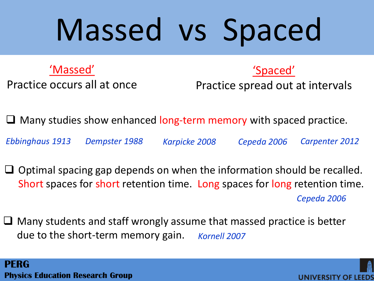## Massed vs Spaced

'Massed'

Practice occurs all at once

Practice spread out at intervals

'Spaced'

 $\Box$  Many studies show enhanced long-term memory with spaced practice.

*Ebbinghaus 1913 Dempster 1988 Karpicke 2008 Cepeda 2006 Carpenter 2012*

- $\Box$  Optimal spacing gap depends on when the information should be recalled. Short spaces for short retention time. Long spaces for long retention time. *Cepeda 2006*
- $\Box$  Many students and staff wrongly assume that massed practice is better due to the short-term memory gain. *Kornell 2007*

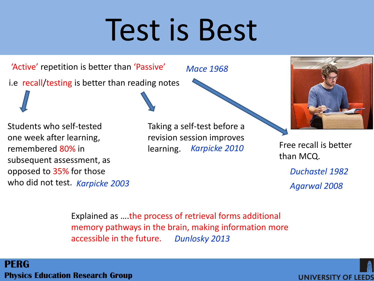## Test is Best

'Active' repetition is better than 'Passive' i.e recall/testing is better than reading notes

*Mace 1968*

Students who self-tested one week after learning, remembered 80% in subsequent assessment, as opposed to 35% for those who did not test. *Karpicke 2003* Taking a self-test before a revision session improves learning. *Karpicke 2010* Free recall is better



than MCQ.

*Duchastel 1982 Agarwal 2008*

Explained as ….the process of retrieval forms additional memory pathways in the brain, making information more accessible in the future. *Dunlosky 2013*

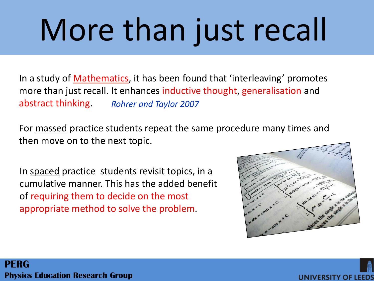# More than just recall

*Rohrer and Taylor 2007* In a study of **Mathematics**, it has been found that 'interleaving' promotes more than just recall. It enhances inductive thought, generalisation and abstract thinking.

For massed practice students repeat the same procedure many times and then move on to the next topic.

In spaced practice students revisit topics, in a cumulative manner. This has the added benefit of requiring them to decide on the most appropriate method to solve the problem.



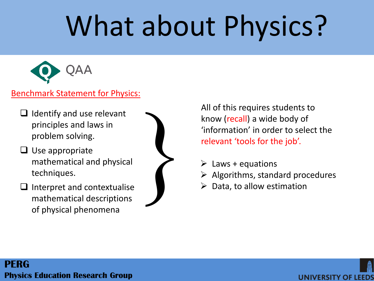## What about Physics?



### Benchmark Statement for Physics:

- $\Box$  Identify and use relevant principles and laws in problem solving.
- $\Box$  Use appropriate mathematical and physical techniques.
- $\Box$  Interpret and contextualise mathematical descriptions of physical phenomena



All of this requires students to know (recall) a wide body of 'information' in order to select the relevant 'tools for the job'. All of this requires students to<br>know (recall) a wide body of<br>"information" in order to select the<br>relevant 'tools for the job'.<br> $\triangleright$  Laws + equations<br> $\triangleright$  Algorithms, standard procedures<br> $\triangleright$  Data, to allow estimati

- $\triangleright$  Laws + equations
- 
- 

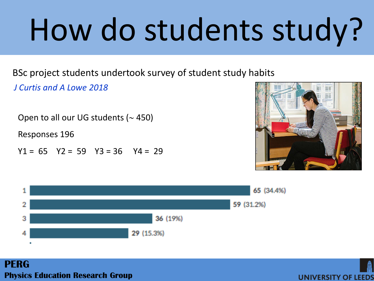# How do students study?

BSc project students undertook survey of student study habits

*J Curtis and A Lowe 2018*

Open to all our UG students  $($   $\sim$  450)

Responses 196

 $Y1 = 65$   $Y2 = 59$   $Y3 = 36$   $Y4 = 29$ 





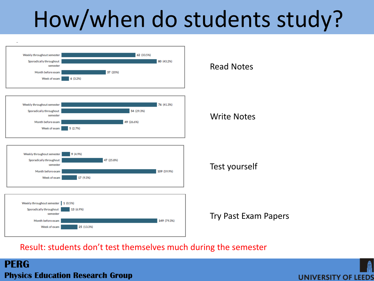## How/when do students study?



### Result: students don't test themselves much during the semester

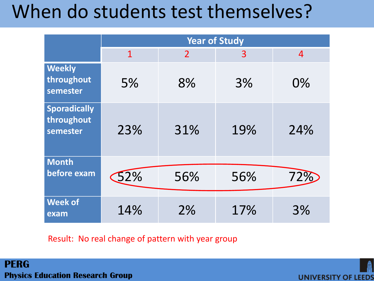## When do students test themselves?

|                                               | <b>Year of Study</b> |                |     |                |  |  |  |  |
|-----------------------------------------------|----------------------|----------------|-----|----------------|--|--|--|--|
|                                               | $\overline{1}$       | $\overline{2}$ | 3   | $\overline{4}$ |  |  |  |  |
| <b>Weekly</b><br>throughout<br>semester       | 5%                   | 8%             | 3%  | 0%             |  |  |  |  |
| <b>Sporadically</b><br>throughout<br>semester | 23%                  | 31%            | 19% | 24%            |  |  |  |  |
| <b>Month</b><br>before exam                   | 52%                  | 56%            | 56% | 72%            |  |  |  |  |
| <b>Week of</b><br>exam                        | 14%                  | 2%             | 17% | 3%             |  |  |  |  |

Result: No real change of pattern with year group

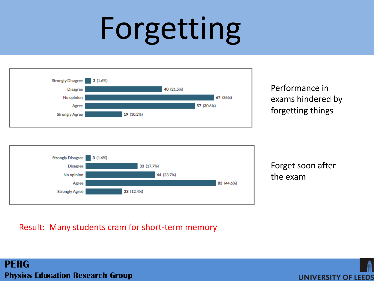## Forgetting



Performance in exams hindered by forgetting things



Forget soon after the exam

### Result: Many students cram for short-term memory

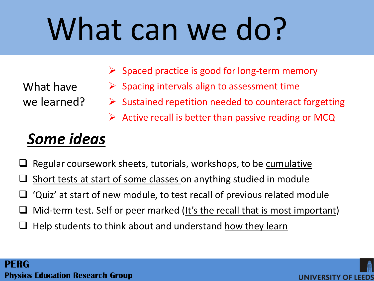## What can we do?

- $\triangleright$  Spaced practice is good for long-term memory
- Spacing intervals align to assessment time
- Sustained repetition needed to counteract forgetting

UNIVERSITY OF I

 $\triangleright$  Active recall is better than passive reading or MCQ

## *Some ideas*

What have

we learned?

- Regular coursework sheets, tutorials, workshops, to be cumulative
- Short tests at start of some classes on anything studied in module
- 'Quiz' at start of new module, to test recall of previous related module
- Mid-term test. Self or peer marked (It's the recall that is most important)
- Help students to think about and understand how they learn

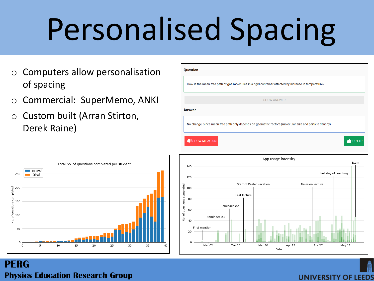## Personalised Spacing

- o Computers allow personalisation of spacing
- o Commercial: SuperMemo, ANKI
- o Custom built (Arran Stirton, Derek Raine)





|                                  |                 |             |              | How is the mean free path of gas molecules in a rigid container affected by increase in temperature?    |                         |                      |  |
|----------------------------------|-----------------|-------------|--------------|---------------------------------------------------------------------------------------------------------|-------------------------|----------------------|--|
|                                  |                 |             |              | <b>SHOW ANSWER</b>                                                                                      |                         |                      |  |
| <b>Answer</b>                    |                 |             |              |                                                                                                         |                         |                      |  |
|                                  |                 |             |              | No change, since mean free path only depends on geometric factors (molecular size and particle density) |                         |                      |  |
|                                  |                 |             |              |                                                                                                         |                         |                      |  |
|                                  | I SHOW ME AGAIN |             |              |                                                                                                         |                         | $\bigcirc$ GOT IT!   |  |
|                                  |                 |             |              |                                                                                                         |                         |                      |  |
|                                  |                 |             |              |                                                                                                         |                         |                      |  |
|                                  |                 |             |              | App usage intensity                                                                                     |                         | Exam                 |  |
| $140 -$                          |                 |             |              |                                                                                                         |                         | Last day of teaching |  |
|                                  | $120$ –         |             |              |                                                                                                         |                         |                      |  |
| 100                              |                 |             |              | Start of Easter vacation                                                                                | <b>Revision lecture</b> |                      |  |
| $80 -$                           |                 |             | Last lecture |                                                                                                         |                         |                      |  |
|                                  |                 | Reminder #2 |              |                                                                                                         |                         |                      |  |
| 60                               |                 | Reminder #1 |              |                                                                                                         |                         |                      |  |
| No. of questions completed<br>40 | First mention   |             |              |                                                                                                         |                         |                      |  |
| 20                               |                 |             |              |                                                                                                         |                         |                      |  |

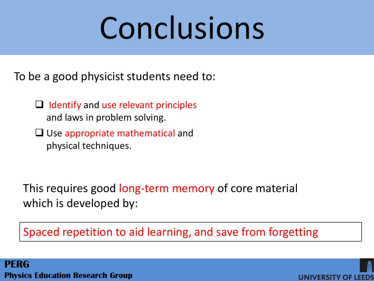## Conclusions

To be a good physicist students need to:

- $\Box$  Identify and use relevant principles and laws in problem solving.
- $\Box$  Use appropriate mathematical and physical techniques.

This requires good long-term memory of core material which is developed by:

Spaced repetition to aid learning, and save from forgetting

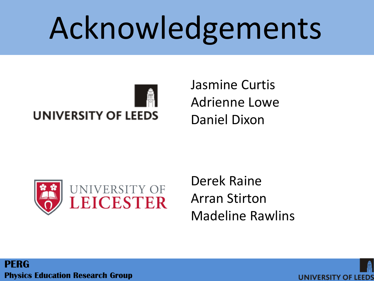## Acknowledgements



Jasmine Curtis Adrienne Lowe Daniel Dixon



Derek Raine Arran Stirton Madeline Rawlins

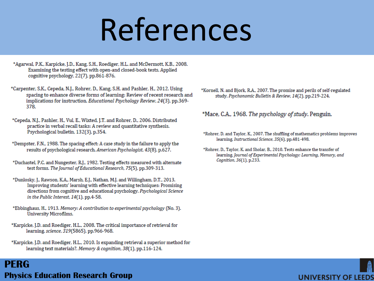## References

- \*Agarwal, P.K., Karpicke, J.D., Kang, S.H., Roediger, H.L. and McDermott, K.B., 2008. Examining the testing effect with open-and closed-book tests. Applied cognitive psychology, 22(7), pp.861-876.
- \*Carpenter, S.K., Cepeda, N.J., Rohrer, D., Kang, S.H. and Pashler, H., 2012. Using spacing to enhance diverse forms of learning: Review of recent research and implications for instruction. Educational Psychology Review, 24(3), pp.369-378.
- \*Cepeda, N.J., Pashler, H., Vul, E., Wixted, J.T. and Rohrer, D., 2006. Distributed practice in verbal recall tasks: A review and quantitative synthesis. Psychological bulletin, 132(3), p.354.
- \*Dempster, F.N., 1988. The spacing effect: A case study in the failure to apply the results of psychological research. American Psychologist, 43(8), p.627.
- \*Duchastel, P.C. and Nungester, R.J., 1982. Testing effects measured with alternate test forms. The Journal of Educational Research, 75(5), pp.309-313.
- \*Dunlosky, J., Rawson, K.A., Marsh, E.J., Nathan, M.J. and Willingham, D.T., 2013. Improving students' learning with effective learning techniques: Promising directions from cognitive and educational psychology. Psychological Science in the Public Interest,  $14(1)$ , pp.4-58.
- \*Ebbinghaus, H., 1913. Memory: A contribution to experimental psychology (No. 3). University Microfilms.
- \*Karpicke, J.D. and Roediger, H.L., 2008. The critical importance of retrieval for learning. science, 319(5865), pp.966-968.
- \*Karpicke, J.D. and Roediger, H.L., 2010. Is expanding retrieval a superior method for learning text materials?. Memory & cognition, 38(1), pp.116-124.

### **PERG Physics Education Research Group**

\*Kornell, N. and Bjork, R.A., 2007. The promise and perils of self-regulated study. Psychonomic Bulletin & Review, 14(2), pp.219-224.

#### \*Mace, C.A., 1968. The psychology of study. Penguin.

- \*Rohrer, D. and Taylor, K., 2007. The shuffling of mathematics problems improves learning. Instructional Science, 35(6), pp.481-498.
- \*Rohrer, D., Taylor, K. and Sholar, B., 2010. Tests enhance the transfer of learning. Journal of Experimental Psychology: Learning, Memory, and Cognition, 36(1), p.233.